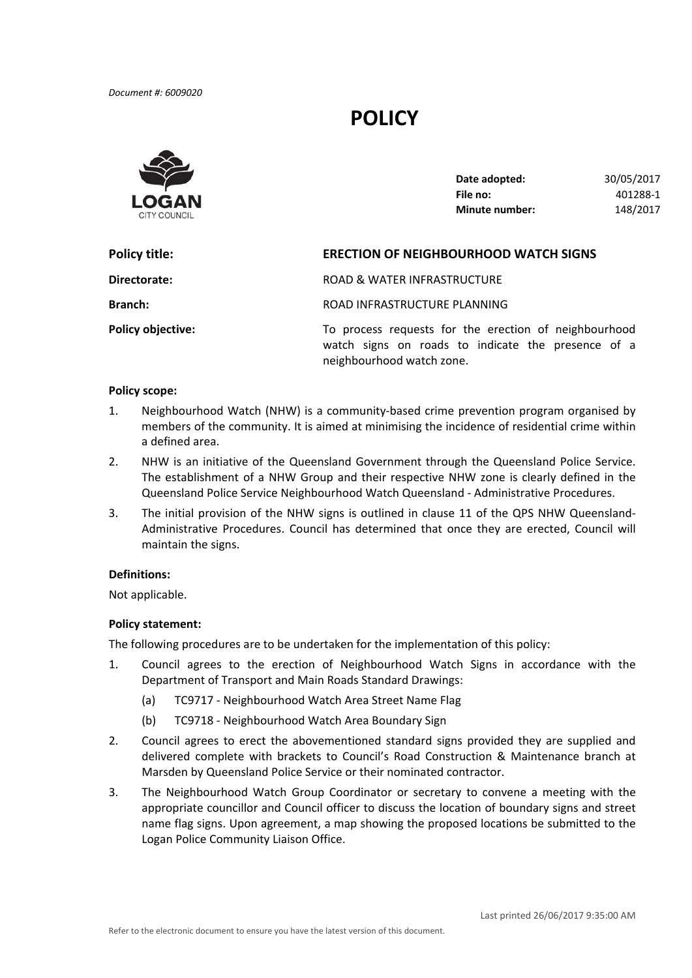*Document #: 6009020*

# **POLICY**



| Date adopted:         | 30/05/2017 |
|-----------------------|------------|
| File no:              | 401288-1   |
| <b>Minute number:</b> | 148/2017   |

| Policy title:            | <b>ERECTION OF NEIGHBOURHOOD WATCH SIGNS</b>                                                                                             |  |
|--------------------------|------------------------------------------------------------------------------------------------------------------------------------------|--|
| Directorate:             | ROAD & WATER INFRASTRUCTURE                                                                                                              |  |
| <b>Branch:</b>           | ROAD INFRASTRUCTURE PLANNING                                                                                                             |  |
| <b>Policy objective:</b> | To process requests for the erection of neighbourhood<br>watch signs on roads to indicate the presence of a<br>neighbourhood watch zone. |  |

### **Policy scope:**

- 1. Neighbourhood Watch (NHW) is a community‐based crime prevention program organised by members of the community. It is aimed at minimising the incidence of residential crime within a defined area.
- 2. NHW is an initiative of the Queensland Government through the Queensland Police Service. The establishment of a NHW Group and their respective NHW zone is clearly defined in the Queensland Police Service Neighbourhood Watch Queensland ‐ Administrative Procedures.
- 3. The initial provision of the NHW signs is outlined in clause 11 of the QPS NHW Queensland‐ Administrative Procedures. Council has determined that once they are erected, Council will maintain the signs.

#### **Definitions:**

Not applicable.

## **Policy statement:**

The following procedures are to be undertaken for the implementation of this policy:

- 1. Council agrees to the erection of Neighbourhood Watch Signs in accordance with the Department of Transport and Main Roads Standard Drawings:
	- (a) TC9717 ‐ Neighbourhood Watch Area Street Name Flag
	- (b) TC9718 ‐ Neighbourhood Watch Area Boundary Sign
- 2. Council agrees to erect the abovementioned standard signs provided they are supplied and delivered complete with brackets to Council's Road Construction & Maintenance branch at Marsden by Queensland Police Service or their nominated contractor.
- 3. The Neighbourhood Watch Group Coordinator or secretary to convene a meeting with the appropriate councillor and Council officer to discuss the location of boundary signs and street name flag signs. Upon agreement, a map showing the proposed locations be submitted to the Logan Police Community Liaison Office.